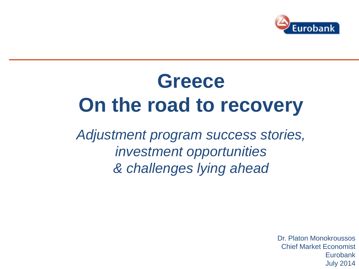

# **Greece On the road to recovery**

*Adjustment program success stories, investment opportunities & challenges lying ahead*

> Dr. Platon Monokroussos Chief Market Economist Eurobank July 2014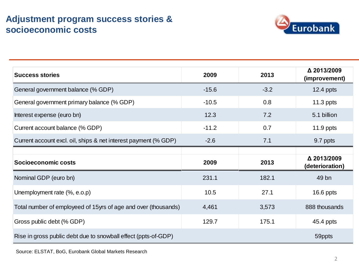# **Adjustment program success stories & socioeconomic costs**



| <b>Success stories</b>                                          | 2009    | 2013   | △ 2013/2009<br>(improvement)   |
|-----------------------------------------------------------------|---------|--------|--------------------------------|
| General government balance (% GDP)                              | $-15.6$ | $-3.2$ | $12.4$ ppts                    |
| General government primary balance (% GDP)                      | $-10.5$ | 0.8    | $11.3$ ppts                    |
| Interest expense (euro bn)                                      | 12.3    | 7.2    | 5.1 billion                    |
| Current account balance (% GDP)                                 | $-11.2$ | 0.7    | 11.9 ppts                      |
| Current account excl. oil, ships & net interest payment (% GDP) | $-2.6$  | 7.1    | 9.7 ppts                       |
|                                                                 |         |        |                                |
| Socioeconomic costs                                             | 2009    | 2013   | △ 2013/2009<br>(deterioration) |
| Nominal GDP (euro bn)                                           | 231.1   | 182.1  | 49 bn                          |
| Unemployment rate (%, e.o.p)                                    | 10.5    | 27.1   | 16.6 ppts                      |
| Total number of employeed of 15yrs of age and over (thousands)  | 4,461   | 3,573  | 888 thousands                  |
| Gross public debt (% GDP)                                       | 129.7   | 175.1  | 45.4 ppts                      |
| Rise in gross public debt due to snowball effect (ppts-of-GDP)  |         |        | 59ppts                         |

Source: ELSTAT, BoG, Eurobank Global Markets Research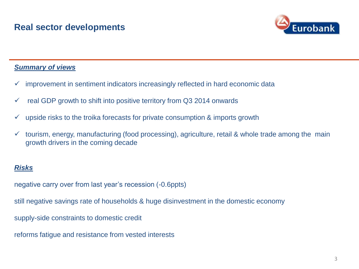

### *Summary of views*

- $\checkmark$  improvement in sentiment indicators increasingly reflected in hard economic data
- $\checkmark$  real GDP growth to shift into positive territory from Q3 2014 onwards
- $\checkmark$  upside risks to the troika forecasts for private consumption & imports growth
- $\checkmark$  tourism, energy, manufacturing (food processing), agriculture, retail & whole trade among the main growth drivers in the coming decade

### *Risks*

negative carry over from last year's recession (-0.6ppts)

still negative savings rate of households & huge disinvestment in the domestic economy

supply-side constraints to domestic credit

reforms fatigue and resistance from vested interests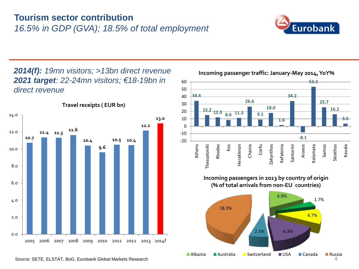# **Tourism sector contribution**  *16.5% in GDP (GVA); 18.5% of total employment*



*2014(f): 19mn visitors; >13bn direct revenue 2021 target: 22-24mn visitors; €18-19bn in direct revenue* 



**Travel receipts ( EUR bn)**



**Incoming passenger traffic: January-May 2014, YoY%**

**Incoming passengers in 2013 by country of origin (% of total arrivals from non-EU countries)**

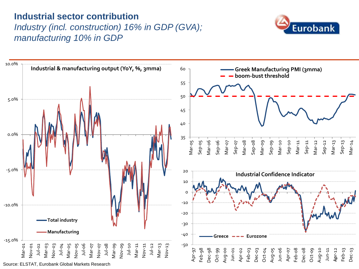# **Industrial sector contribution**

# *Industry (incl. construction) 16% in GDP (GVA); manufacturing 10% in GDP*



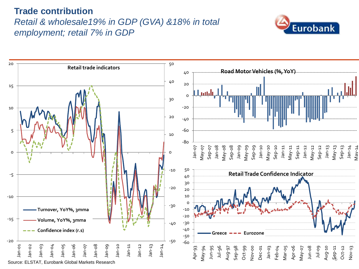# **Trade contribution**  *Retail & wholesale19% in GDP (GVA) &18% in total employment; retail 7% in GDP*



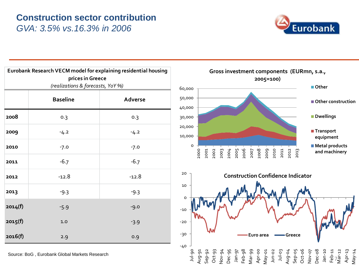### **Construction sector contribution** *GVA: 3.5% vs.16.3% in 2006*



| Eurobank Research VECM model for explaining residential housing<br>prices in Greece |                 |         |  |
|-------------------------------------------------------------------------------------|-----------------|---------|--|
| (realizations & forecasts, YoY %)                                                   |                 |         |  |
|                                                                                     | <b>Baseline</b> | Adverse |  |
| 2008                                                                                | 0.3             | 0.3     |  |
| 2009                                                                                | $-4.2$          | $-4.2$  |  |
| 2010                                                                                | $-7.0$          | $-7.0$  |  |
| 2011                                                                                | $-6.7$          | $-6.7$  |  |
| 2012                                                                                | $-12.8$         | $-12.8$ |  |
| 2013                                                                                | $-9.3$          | $-9.3$  |  |
| 2014(f)                                                                             | $-5.9$          | $-9.0$  |  |
| 2015(f)                                                                             | 1.0             | $-3.9$  |  |
| 2016(f)                                                                             | 2.9             | 0.9     |  |

Source: BoG , Eurobank Global Markets Research



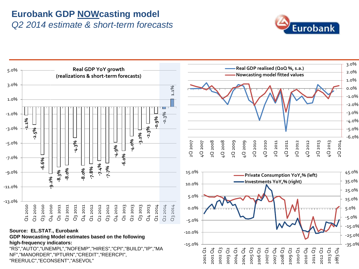### **Eurobank GDP NOWcasting model**  *Q2 2014 estimate & short-term forecasts*



8 2013 Q4

-35.0% -25.0%



-15.0%

2001 Q1

2001 Q4<br>2002 Q<sub>3</sub> 2002 2003 Q2 2004 Q1 2004 Q4 2005 Q3 2006 Q2 2007 Q1 2007 Q4 2008 Q3 2009 Q2 2010 Q1 2010 Q4 2011 Q3 2012 Q2 2013 Q1

-10.0%

**Source: EL.STAT., Eurobank GDP Nowcasting Model estimates based on the following** 

#### **high-frequency indicators:**

"RS","AUTO","UNEMPL","NOFEMP","HIRES","CPI","BUILD","IP","MA NF","MANORDER","IPTURN","CREDIT","REERCPI", "REERULC","ECONSENT","ASEVOL"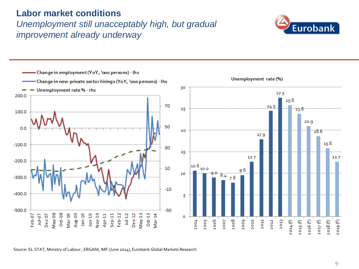### **Labor market conditions**

# *Unemployment still unacceptably high, but gradual improvement already underway*





Source: EL.STAT, Ministry of Labour , ERGANI, IMF (June 2014), Eurobank Global Markets Research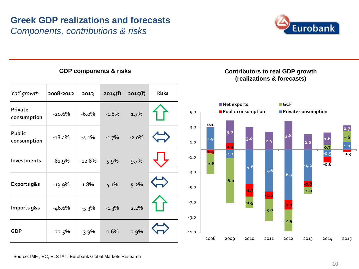# **Greek GDP realizations and forecasts**

*Components, contributions & risks*





Source: IMF , EC, ELSTAT, Eurobank Global Markets Research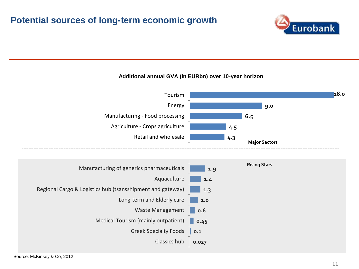### **Potential sources of long-term economic growth**



#### **Additional annual GVA (in EURbn) over 10-year horizon**



| Manufacturing of generics pharmaceuticals                  | <b>Rising Stars</b><br>1.9 |
|------------------------------------------------------------|----------------------------|
| Aquaculture                                                | 1.4                        |
| Regional Cargo & Logistics hub (tsansshipment and gateway) | 1.3                        |
| Long-term and Elderly care                                 | 1.0                        |
| Waste Management                                           | 0.6                        |
| Medical Tourism (mainly outpatient)                        | 0.45                       |
| <b>Greek Specialty Foods</b>                               | 0.1                        |
| Classics hub                                               | 0.027                      |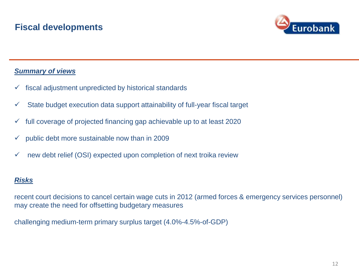

### *Summary of views*

- $\checkmark$  fiscal adjustment unpredicted by historical standards
- $\checkmark$  State budget execution data support attainability of full-year fiscal target
- $\checkmark$  full coverage of projected financing gap achievable up to at least 2020
- $\checkmark$  public debt more sustainable now than in 2009
- $\checkmark$  new debt relief (OSI) expected upon completion of next troika review

### *Risks*

recent court decisions to cancel certain wage cuts in 2012 (armed forces & emergency services personnel) may create the need for offsetting budgetary measures

challenging medium-term primary surplus target (4.0%-4.5%-of-GDP)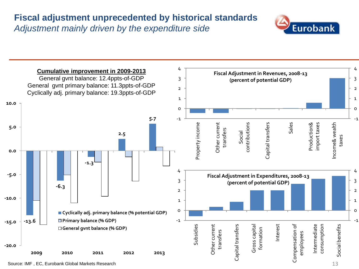# **Fiscal adjustment unprecedented by historical standards** *Adjustment mainly driven by the expenditure side*



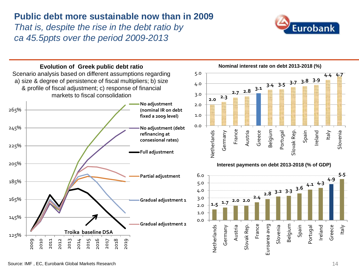# **Public debt more sustainable now than in 2009**

*That is, despite the rise in the debt ratio by ca 45.5ppts over the period 2009-2013* 





#### Source: IMF , EC, Eurobank Global Markets Research

Slovenia

**5.5**

Italy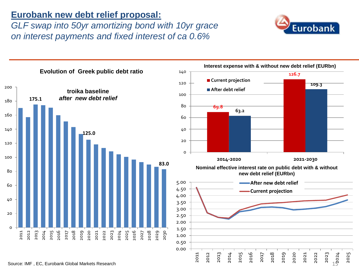### **Eurobank new debt relief proposal:**

*GLF swap into 50yr amortizing bond with 10yr grace on interest payments and fixed interest of ca 0.6%* 



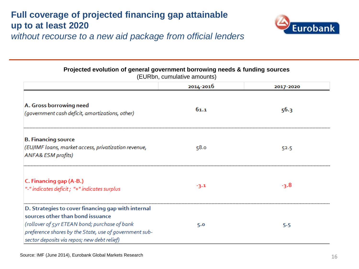# **Full coverage of projected financing gap attainable up to at least 2020**



*without recourse to a new aid package from official lenders*

**Projected evolution of general government borrowing needs & funding sources** 

| $= 0.15$ , cannanative annoam.c/                                                                                                        |           |           |  |
|-----------------------------------------------------------------------------------------------------------------------------------------|-----------|-----------|--|
|                                                                                                                                         | 2014-2016 | 2017-2020 |  |
| A. Gross borrowing need<br>(government cash deficit, amortizations, other)                                                              | 61.1      | 56.3      |  |
| <b>B. Financing source</b>                                                                                                              |           |           |  |
| (EU/IMF loans, market access, privatization revenue,<br><b>ANFA&amp; ESM profits)</b>                                                   | 58.0      | 52.5      |  |
| C. Financing gap (A-B.)<br>"-" indicates deficit ; "+" indicates surplus                                                                | $-3.1$    | $-3.8$    |  |
| D. Strategies to cover financing gap with internal<br>sources other than bond issuance<br>(rollover of 5yr ETEAN bond; purchase of bank | 5.0       | 5.5       |  |
| preference shares by the State, use of government sub-<br>sector deposits via repos; new debt relief)                                   |           |           |  |

(EURbn, cumulative amounts)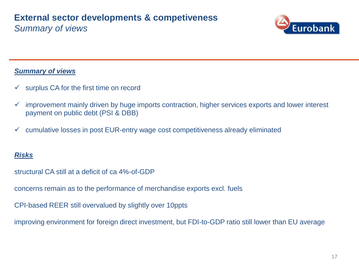### **External sector developments & competiveness** *Summary of views*



### *Summary of views*

- $\checkmark$  surplus CA for the first time on record
- $\checkmark$  improvement mainly driven by huge imports contraction, higher services exports and lower interest payment on public debt (PSI & DBB)
- $\checkmark$  cumulative losses in post EUR-entry wage cost competitiveness already eliminated

### *Risks*

structural CA still at a deficit of ca 4%-of-GDP

concerns remain as to the performance of merchandise exports excl. fuels

CPI-based REER still overvalued by slightly over 10ppts

improving environment for foreign direct investment, but FDI-to-GDP ratio still lower than EU average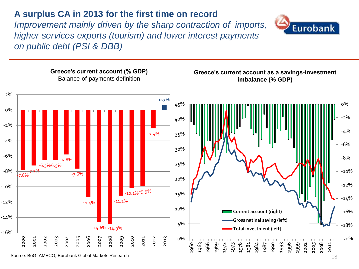# **A surplus CA in 2013 for the first time on record**

*Improvement mainly driven by the sharp contraction of imports, higher services exports (tourism) and lower interest payments on public debt (PSI & DBB)* 





Source: BoG, AMECO, Eurobank Global Markets Research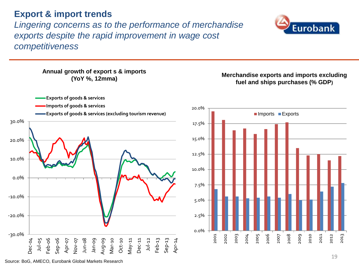### **Export & import trends**

*Lingering concerns as to the performance of merchandise exports despite the rapid improvement in wage cost competitiveness* 



**Annual growth of export s & imports** 





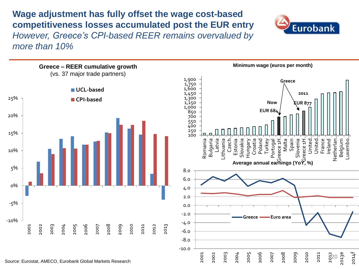**Wage adjustment has fully offset the wage cost-based competitiveness losses accumulated post the EUR entry**  *However, Greece's CPI-based REER remains overvalued by more than 10%*



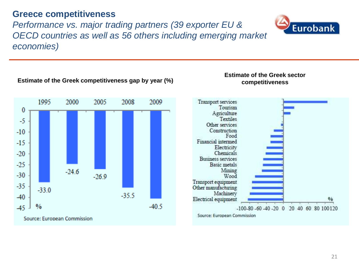### **Greece competitiveness**

2000

1995

 $-330$ 

Source: European Commission

 $\frac{0}{0}$ 

 $\bf{0}$ 

 $-5$ 

 $-10$ 

 $-15$ 

 $-20$ 

 $-25$ 

 $-30$ 

 $-35$ 

-40

 $-45$ 

*Performance vs. major trading partners (39 exporter EU & OECD countries as well as 56 others including emerging market economies)* 

#### **Estimate of the Greek sector competitiveness Estimate of the Greek competitiveness gap by year (%)**

Transport services

Tourism

Source: European Commission



2008

 $-35.5$ 

2009

 $-40.5$ 

2005



# **Eurobank**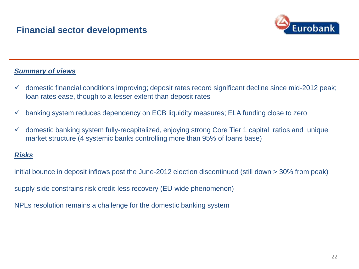

### *Summary of views*

- $\checkmark$  domestic financial conditions improving; deposit rates record significant decline since mid-2012 peak; loan rates ease, though to a lesser extent than deposit rates
- $\checkmark$  banking system reduces dependency on ECB liquidity measures; ELA funding close to zero
- $\checkmark$  domestic banking system fully-recapitalized, enjoying strong Core Tier 1 capital ratios and unique market structure (4 systemic banks controlling more than 95% of loans base)

### *Risks*

initial bounce in deposit inflows post the June-2012 election discontinued (still down > 30% from peak)

supply-side constrains risk credit-less recovery (EU-wide phenomenon)

NPLs resolution remains a challenge for the domestic banking system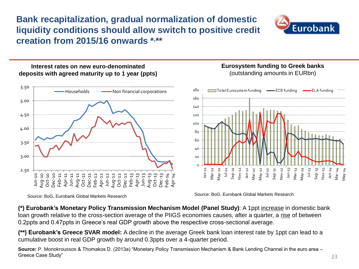**Bank recapitalization, gradual normalization of domestic liquidity conditions should allow switch to positive credit creation from 2015/16 onwards \*, \*\***



### **Interest rates on new euro-denominated deposits with agreed maturity up to 1 year (ppts)**



### **Eurosystem funding to Greek banks**  (outstanding amounts in EURbn)



Source: BoG, Eurobank Global Markets Research Source: BoG, Eurobank Global Markets Research

**(\*) Eurobank's Monetary Policy Transmission Mechanism Model (Panel Study)**: A 1ppt increase in domestic bank loan growth relative to the cross-section average of the PIIGS economies causes, after a quarter, a rise of between 0.2ppts and 0.47ppts in Greece's real GDP growth above the respective cross-sectional average.

**(\*\*) Eurobank's Greece SVAR model:** A decline in the average Greek bank loan interest rate by 1ppt can lead to a cumulative boost in real GDP growth by around 0.3ppts over a 4-quarter period.

**Source:** P. Monokroussos & Thomakos D. (2013a) "Monetary Policy Transmission Mechanism & Bank Lending Channel in the euro area – Greece Case Study"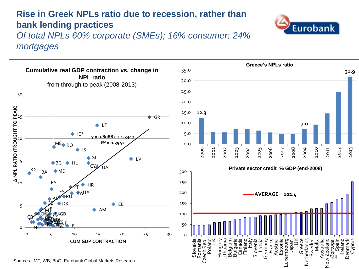# **Rise in Greek NPLs ratio due to recession, rather than bank lending practices**

*Of total NPLs 60% corporate (SMEs); 16% consumer; 24% mortgages* 





**Eurobank** 

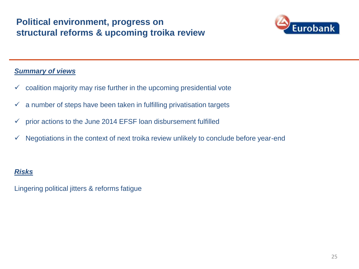# **Political environment, progress on structural reforms & upcoming troika review**



### *Summary of views*

- $\checkmark$  coalition majority may rise further in the upcoming presidential vote
- $\checkmark$  a number of steps have been taken in fulfilling privatisation targets
- $\checkmark$  prior actions to the June 2014 EFSF loan disbursement fulfilled
- $\checkmark$  Negotiations in the context of next troika review unlikely to conclude before year-end

### *Risks*

Lingering political jitters & reforms fatigue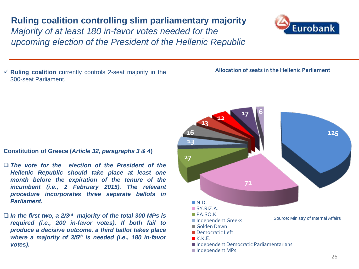# **Ruling coalition controlling slim parliamentary majority**

*Majority of at least 180 in-favor votes needed for the upcoming election of the President of the Hellenic Republic*

 $\checkmark$  **Ruling coalition** currently controls 2-seat majority in the 300-seat Parliament.

### **Constitution of Greece (***Article 32, paragraphs 3 & 4***)**

- *The vote for the election of the President of the Hellenic Republic should take place at least one month before the expiration of the tenure of the incumbent (i.e., 2 February 2015). The relevant procedure incorporates three separate ballots in Parliament.*
- *In the first two, a 2/3 rd majority of the total 300 MPs is required (i.e., 200 in-favor votes). If both fail to produce a decisive outcome, a third ballot takes place where a majority of 3/5 th is needed (i.e., 180 in-favor votes).*



### **125 71 27 13 16 13 12 17 6**  $N.D.$ SY.RIZ.A. PA.SO.K. ■Independent Greeks Golden Dawn **Democratic Left**  $K.K.E.$ ■ Independent Democratic Parliamentarians ■Independent MPs Source: Ministry of Internal Affairs



**Allocation of seats in the Hellenic Parliament**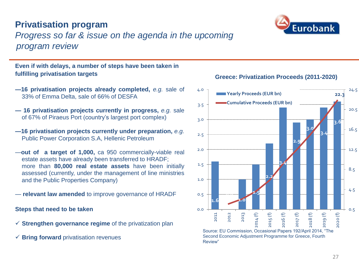## **Privatisation program**

# *Progress so far & issue on the agenda in the upcoming program review*

### **Even if with delays, a number of steps have been taken in fulfilling privatisation targets**

- **—16 privatisation projects already completed,** *e.g.* sale of 33% of Emma Delta, sale of 66% of DESFA
- **— 16 privatisation projects currently in progress,** *e.g.* sale of 67% of Piraeus Port (country's largest port complex)
- **—16 privatisation projects currently under preparation,** *e.g.* Public Power Corporation S.A, Hellenic Petroleum
- —**out of a target of 1,000,** ca 950 commercially-viable real estate assets have already been transferred to HRADF; more than **80,000 real estate assets** have been initially assessed (currently, under the management of line ministries and the Public Properties Company)
- **relevant law amended** to improve governance of HRADF

**Steps that need to be taken** 

- **Strengthen governance regime** of the privatization plan
- **Bring forward** privatisation revenues





### **Greece: Privatization Proceeds (2011-2020)**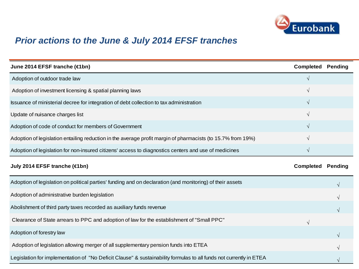

# *Prior actions to the June & July 2014 EFSF tranches*

| June 2014 EFSF tranche (€1bn)                                                                                      | Completed                | <b>Pending</b> |
|--------------------------------------------------------------------------------------------------------------------|--------------------------|----------------|
| Adoption of outdoor trade law                                                                                      |                          |                |
| Adoption of investment licensing & spatial planning laws                                                           |                          |                |
| Issuance of ministerial decree for integration of debt collection to tax administration                            | $\sqrt{ }$               |                |
| Update of nuisance charges list                                                                                    | $\sqrt{}$                |                |
| Adoption of code of conduct for members of Government                                                              | V                        |                |
| Adoption of legislation entailing reduction in the average profit margin of pharmacists (to 15.7% from 19%)        |                          |                |
| Adoption of legislation for non-insured citizens' access to diagnostics centers and use of medicines               | V                        |                |
| July 2014 EFSF tranche (€1bn)                                                                                      | <b>Completed Pending</b> |                |
| Adoption of legislation on political parties' funding and on declaration (and monitoring) of their assets          |                          | V              |
| Adoption of administrative burden legislation                                                                      |                          |                |
| Abolishment of third party taxes recorded as auxiliary funds revenue                                               |                          |                |
| Clearance of State arrears to PPC and adoption of law for the establishment of "Small PPC"                         | $\sqrt{ }$               |                |
| Adoption of forestry law                                                                                           |                          |                |
| Adoption of legislation allowing merger of all supplementary pension funds into ETEA                               |                          |                |
| Legislation for implementation of "No Deficit Clause" & sustainability formulas to all funds not currently in ETEA |                          |                |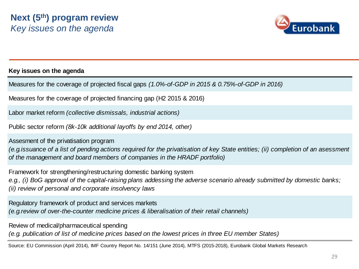

### **Key issues on the agenda**

Measures for the coverage of projected fiscal gaps *(1.0%-of-GDP in 2015 & 0.75%-of-GDP in 2016)* 

Measures for the coverage of projected financing gap (H2 2015 & 2016)

Labor market reform *(collective dismissals, industrial actions)*

Public sector reform *(8k-10k additional layoffs by end 2014, other)*

Assesment of the privatisation program *(e.g.issuance of a list of pending actions required for the privatisation of key State entities; (ii) completion of an asessment of the management and board members of companies in the HRADF portfolio)*

Framework for strengthening/restructuring domestic banking system *e.g., (i) BoG approval of the capital-raising plans addessing the adverse scenario already submitted by domestic banks; (ii) review of personal and corporate insolvency laws*

Regulatory framework of product and services markets *(e.g.review of over-the-counter medicine prices & liberalisation of their retail channels)*

Review of medical/pharmaceutical spending *(e.g. publication of list of medicine prices based on the lowest prices in three EU member States)* 

Source: EU Commission (April 2014), IMF Country Report No. 14/151 (June 2014), MTFS (2015-2018), Eurobank Global Markets Research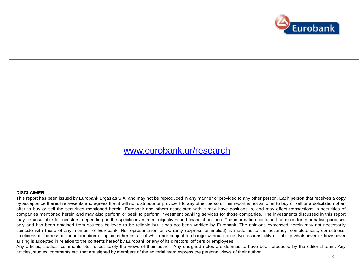

### [www.eurobank.gr/research](http://www.eurobank.gr/research)

#### **DISCLAIMER**

This report has been issued by Eurobank Ergasias S.A. and may not be reproduced in any manner or provided to any other person. Each person that receives a copy by acceptance thereof represents and agrees that it will not distribute or provide it to any other person. This report is not an offer to buy or sell or a solicitation of an offer to buy or sell the securities mentioned herein. Eurobank and others associated with it may have positions in, and may effect transactions in securities of companies mentioned herein and may also perform or seek to perform investment banking services for those companies. The investments discussed in this report may be unsuitable for investors, depending on the specific investment objectives and financial position. The information contained herein is for informative purposes only and has been obtained from sources believed to be reliable but it has not been verified by Eurobank. The opinions expressed herein may not necessarily coincide with those of any member of Eurobank. No representation or warranty (express or implied) is made as to the accuracy, completeness, correctness, timeliness or fairness of the information or opinions herein, all of which are subject to change without notice. No responsibility or liability whatsoever or howsoever arising is accepted in relation to the contents hereof by Eurobank or any of its directors, officers or employees.

Any articles, studies, comments etc. reflect solely the views of their author. Any unsigned notes are deemed to have been produced by the editorial team. Any articles, studies, comments etc. that are signed by members of the editorial team express the personal views of their author.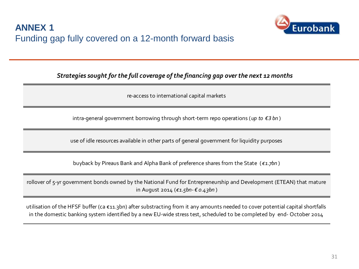

### *Strategies sought for the full coverage of the financing gap over the next 12 months*

re-access to international capital markets

intra-general government borrowing through short-term repo operations (*up to € 3 bn* )

use of idle resources available in other parts of general government for liquidity purposes

buyback by Pireaus Bank and Alpha Bank of preference shares from the State (*€1.7bn* )

rollover of 5-yr government bonds owned by the National Fund for Entrepreneurship and Development (ETEAN) that mature in August 2014 (*€1.5bn- € 0.43bn* )

utilisation of the HFSF buffer (ca €11.3bn) after substracting from it any amounts needed to cover potential capital shortfalls in the domestic banking system identified by a new EU-wide stress test, scheduled to be completed by end- October 2014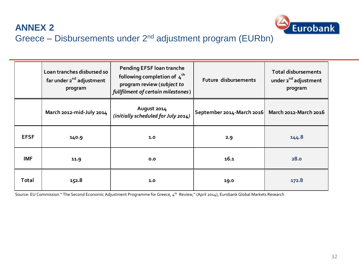

# **ANNEX 2** Greece – Disbursements under 2nd adjustment program (EURbn)

|             | Loan tranches disbursed so<br>far under 2 <sup>nd</sup> adjustment<br>program | <b>Pending EFSF loan tranche</b><br>following completion of $4^{th}$<br>program review (subject to<br>fullfilment of certain milestones) | Future disbursements                              | <b>Total disbursements</b><br>under 2 <sup>nd</sup> adjustment<br>program |
|-------------|-------------------------------------------------------------------------------|------------------------------------------------------------------------------------------------------------------------------------------|---------------------------------------------------|---------------------------------------------------------------------------|
|             | March 2012-mid-July 2014                                                      | August 2014<br>(initially scheduled for July 2014)                                                                                       | September 2014-March 2016   March 2012-March 2016 |                                                                           |
| <b>EFSF</b> | 140.9                                                                         | 1.0                                                                                                                                      | 2.9                                               | 144.8                                                                     |
| <b>IMF</b>  | 11.9                                                                          | 0.0                                                                                                                                      | 16.1                                              | 28.0                                                                      |
| Total       | 152.8                                                                         | 1.0                                                                                                                                      | 19.0                                              | 172.8                                                                     |

Source: EU Commission " The Second Economic Adjustment Programme for Greece, 4<sup>th</sup> Review," (April 2014), Eurobank Global Markets Research